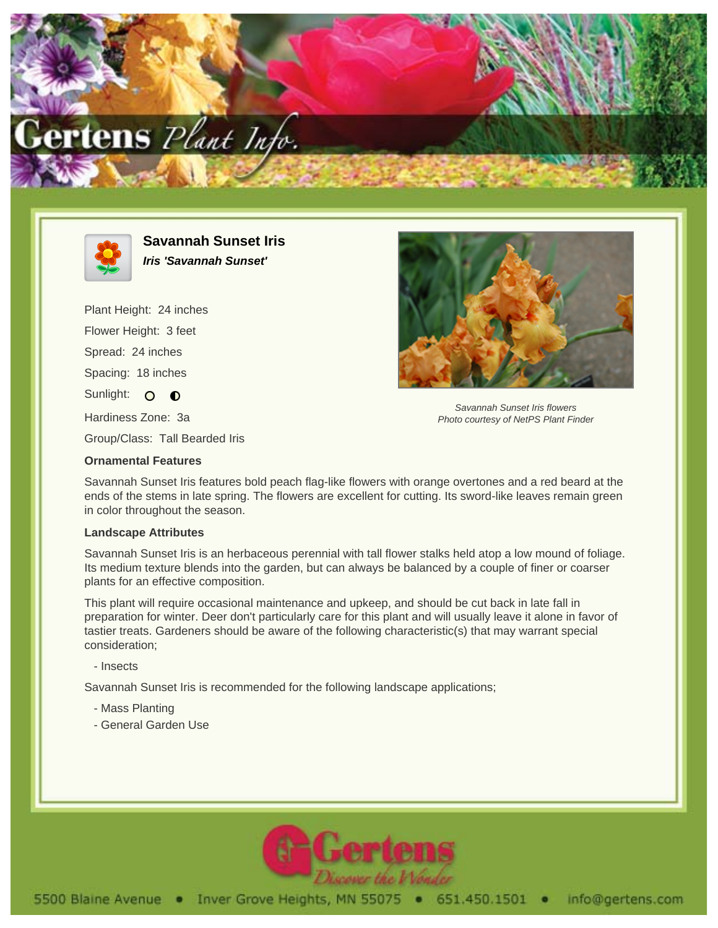



**Savannah Sunset Iris Iris 'Savannah Sunset'**

Plant Height: 24 inches Flower Height: 3 feet Spread: 24 inches Spacing: 18 inches Sunlight: O O Hardiness Zone: 3a



Savannah Sunset Iris flowers Photo courtesy of NetPS Plant Finder

Group/Class: Tall Bearded Iris

## **Ornamental Features**

Savannah Sunset Iris features bold peach flag-like flowers with orange overtones and a red beard at the ends of the stems in late spring. The flowers are excellent for cutting. Its sword-like leaves remain green in color throughout the season.

## **Landscape Attributes**

Savannah Sunset Iris is an herbaceous perennial with tall flower stalks held atop a low mound of foliage. Its medium texture blends into the garden, but can always be balanced by a couple of finer or coarser plants for an effective composition.

This plant will require occasional maintenance and upkeep, and should be cut back in late fall in preparation for winter. Deer don't particularly care for this plant and will usually leave it alone in favor of tastier treats. Gardeners should be aware of the following characteristic(s) that may warrant special consideration;

- Insects

Savannah Sunset Iris is recommended for the following landscape applications;

- Mass Planting
- General Garden Use